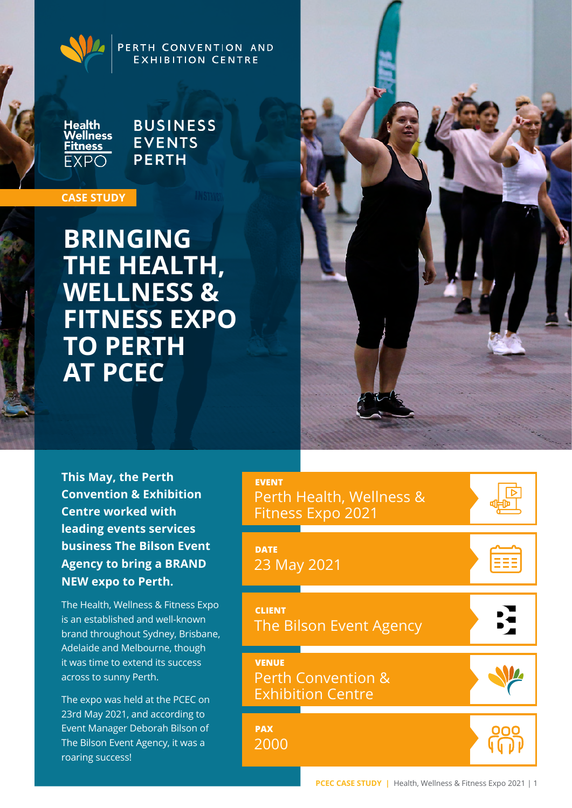PERTH CONVENTION AND **EXHIBITION CENTRE** 

Health<br>Wellness **Fitness FXPO** 

**BUSINESS EVENTS PERTH** 

### **CASE STUDY**

**BRINGING THE HEALTH, WELLNESS & FITNESS EXPO TO PERTH AT PCEC**



**This May, the Perth Convention & Exhibition Centre worked with leading events services business The Bilson Event Agency to bring a BRAND NEW expo to Perth.** 

The Health, Wellness & Fitness Expo is an established and well-known brand throughout Sydney, Brisbane, Adelaide and Melbourne, though it was time to extend its success across to sunny Perth.

The expo was held at the PCEC on 23rd May 2021, and according to Event Manager Deborah Bilson of The Bilson Event Agency, it was a roaring success!

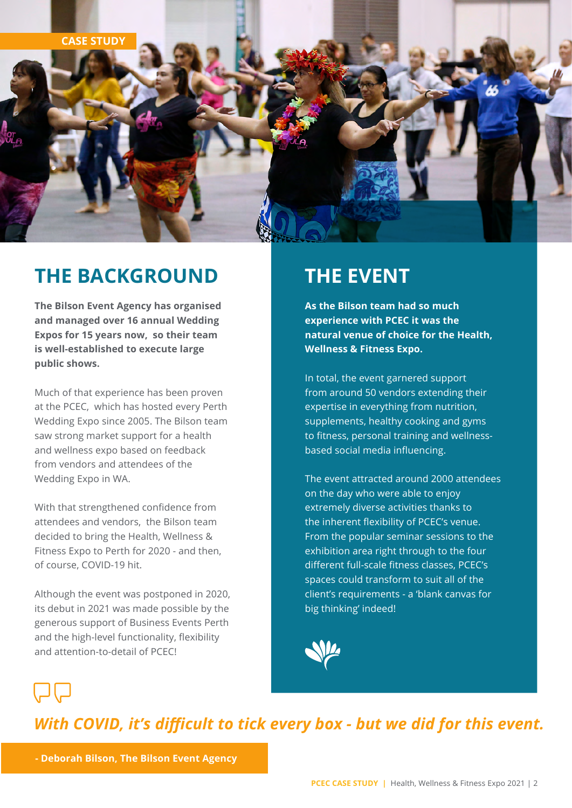

# **THE BACKGROUND**

**The Bilson Event Agency has organised and managed over 16 annual Wedding Expos for 15 years now, so their team is well-established to execute large public shows.** 

Much of that experience has been proven at the PCEC, which has hosted every Perth Wedding Expo since 2005. The Bilson team saw strong market support for a health and wellness expo based on feedback from vendors and attendees of the Wedding Expo in WA.

With that strengthened confidence from attendees and vendors, the Bilson team decided to bring the Health, Wellness & Fitness Expo to Perth for 2020 - and then, of course, COVID-19 hit.

Although the event was postponed in 2020, its debut in 2021 was made possible by the generous support of Business Events Perth and the high-level functionality, flexibility and attention-to-detail of PCEC!

# **THE EVENT**

**As the Bilson team had so much experience with PCEC it was the natural venue of choice for the Health, Wellness & Fitness Expo.** 

In total, the event garnered support from around 50 vendors extending their expertise in everything from nutrition, supplements, healthy cooking and gyms to fitness, personal training and wellnessbased social media influencing.

The event attracted around 2000 attendees on the day who were able to enjoy extremely diverse activities thanks to the inherent flexibility of PCEC's venue. From the popular seminar sessions to the exhibition area right through to the four different full-scale fitness classes, PCEC's spaces could transform to suit all of the client's requirements - a 'blank canvas for big thinking' indeed!



*With COVID, it's difficult to tick every box - but we did for this event.*

**- Deborah Bilson, The Bilson Event Agency**